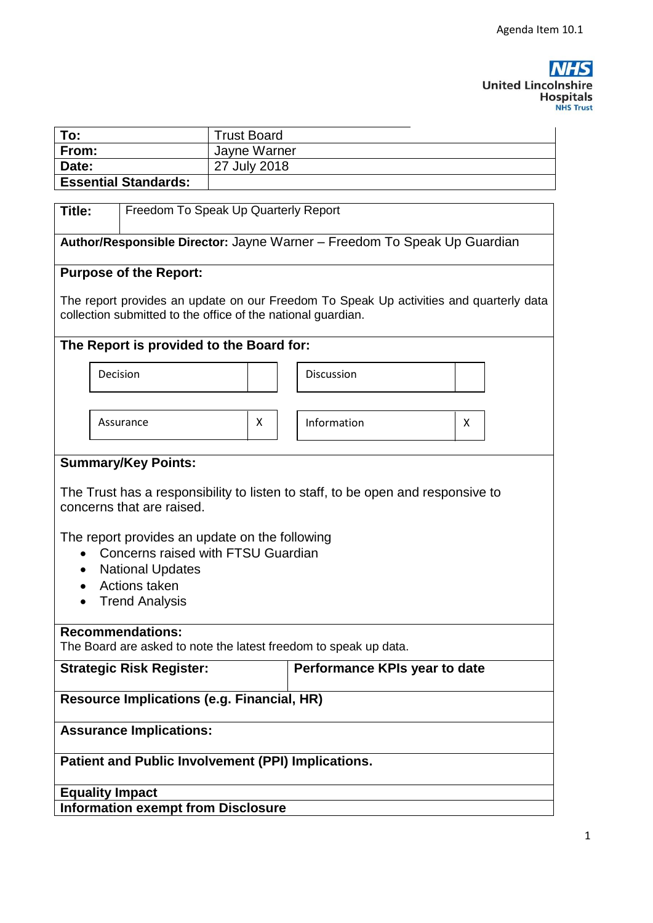| To:                                                                                                                                                       | <b>Trust Board</b> |                               |   |  |  |  |  |
|-----------------------------------------------------------------------------------------------------------------------------------------------------------|--------------------|-------------------------------|---|--|--|--|--|
| From:                                                                                                                                                     | Jayne Warner       |                               |   |  |  |  |  |
| Date:                                                                                                                                                     | 27 July 2018       |                               |   |  |  |  |  |
| <b>Essential Standards:</b>                                                                                                                               |                    |                               |   |  |  |  |  |
| Freedom To Speak Up Quarterly Report<br>Title:                                                                                                            |                    |                               |   |  |  |  |  |
| Author/Responsible Director: Jayne Warner - Freedom To Speak Up Guardian                                                                                  |                    |                               |   |  |  |  |  |
| <b>Purpose of the Report:</b>                                                                                                                             |                    |                               |   |  |  |  |  |
| The report provides an update on our Freedom To Speak Up activities and quarterly data<br>collection submitted to the office of the national guardian.    |                    |                               |   |  |  |  |  |
| The Report is provided to the Board for:                                                                                                                  |                    |                               |   |  |  |  |  |
| Decision                                                                                                                                                  |                    | Discussion                    |   |  |  |  |  |
| Assurance                                                                                                                                                 | X                  | Information                   | X |  |  |  |  |
| <b>Summary/Key Points:</b>                                                                                                                                |                    |                               |   |  |  |  |  |
| The Trust has a responsibility to listen to staff, to be open and responsive to<br>concerns that are raised.                                              |                    |                               |   |  |  |  |  |
| The report provides an update on the following<br>Concerns raised with FTSU Guardian<br><b>National Updates</b><br>Actions taken<br><b>Trend Analysis</b> |                    |                               |   |  |  |  |  |
| <b>Recommendations:</b><br>The Board are asked to note the latest freedom to speak up data.                                                               |                    |                               |   |  |  |  |  |
| <b>Strategic Risk Register:</b>                                                                                                                           |                    | Performance KPIs year to date |   |  |  |  |  |
| <b>Resource Implications (e.g. Financial, HR)</b>                                                                                                         |                    |                               |   |  |  |  |  |
| <b>Assurance Implications:</b>                                                                                                                            |                    |                               |   |  |  |  |  |
| Patient and Public Involvement (PPI) Implications.                                                                                                        |                    |                               |   |  |  |  |  |
| <b>Equality Impact</b>                                                                                                                                    |                    |                               |   |  |  |  |  |
| <b>Information exempt from Disclosure</b>                                                                                                                 |                    |                               |   |  |  |  |  |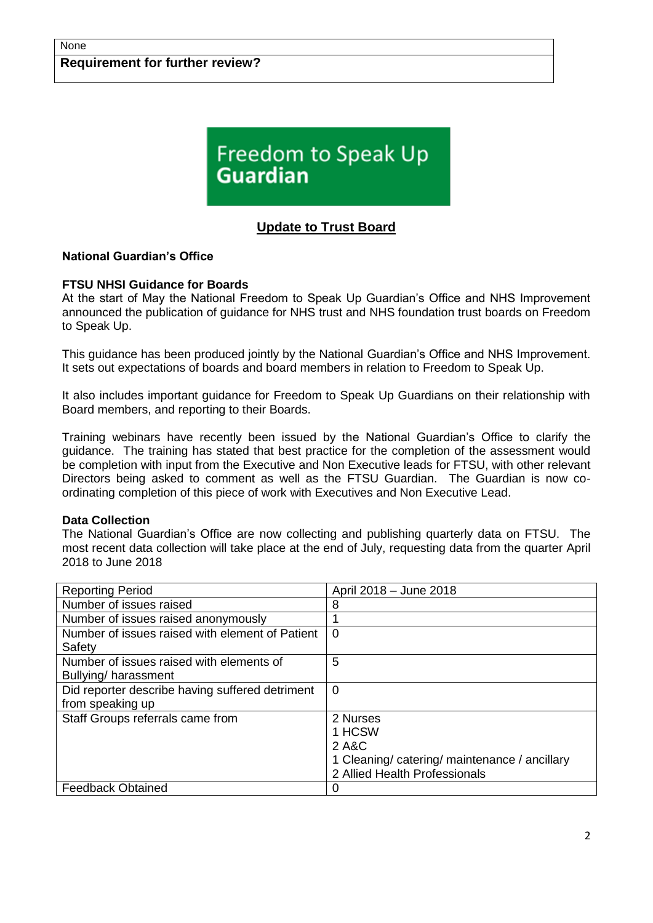#### **Requirement for further review?**

# Freedom to Speak Up **Guardian**

## **Update to Trust Board**

#### **National Guardian's Office**

#### **FTSU NHSI Guidance for Boards**

At the start of May the National Freedom to Speak Up Guardian's Office and NHS Improvement announced the publication of guidance for NHS trust and NHS foundation trust boards on Freedom to Speak Up.

This guidance has been produced jointly by the National Guardian's Office and NHS Improvement. It sets out expectations of boards and board members in relation to Freedom to Speak Up.

It also includes important guidance for Freedom to Speak Up Guardians on their relationship with Board members, and reporting to their Boards.

Training webinars have recently been issued by the National Guardian's Office to clarify the guidance. The training has stated that best practice for the completion of the assessment would be completion with input from the Executive and Non Executive leads for FTSU, with other relevant Directors being asked to comment as well as the FTSU Guardian. The Guardian is now coordinating completion of this piece of work with Executives and Non Executive Lead.

#### **Data Collection**

The National Guardian's Office are now collecting and publishing quarterly data on FTSU. The most recent data collection will take place at the end of July, requesting data from the quarter April 2018 to June 2018

| <b>Reporting Period</b>                                             | April 2018 - June 2018                                                                                        |  |  |
|---------------------------------------------------------------------|---------------------------------------------------------------------------------------------------------------|--|--|
| Number of issues raised                                             | 8                                                                                                             |  |  |
| Number of issues raised anonymously                                 | 1                                                                                                             |  |  |
| Number of issues raised with element of Patient<br>Safety           | $\Omega$                                                                                                      |  |  |
| Number of issues raised with elements of<br>Bullying/harassment     | 5                                                                                                             |  |  |
| Did reporter describe having suffered detriment<br>from speaking up | $\Omega$                                                                                                      |  |  |
| Staff Groups referrals came from                                    | 2 Nurses<br>1 HCSW<br>2 A&C<br>1 Cleaning/ catering/ maintenance / ancillary<br>2 Allied Health Professionals |  |  |
| <b>Feedback Obtained</b>                                            | 0                                                                                                             |  |  |